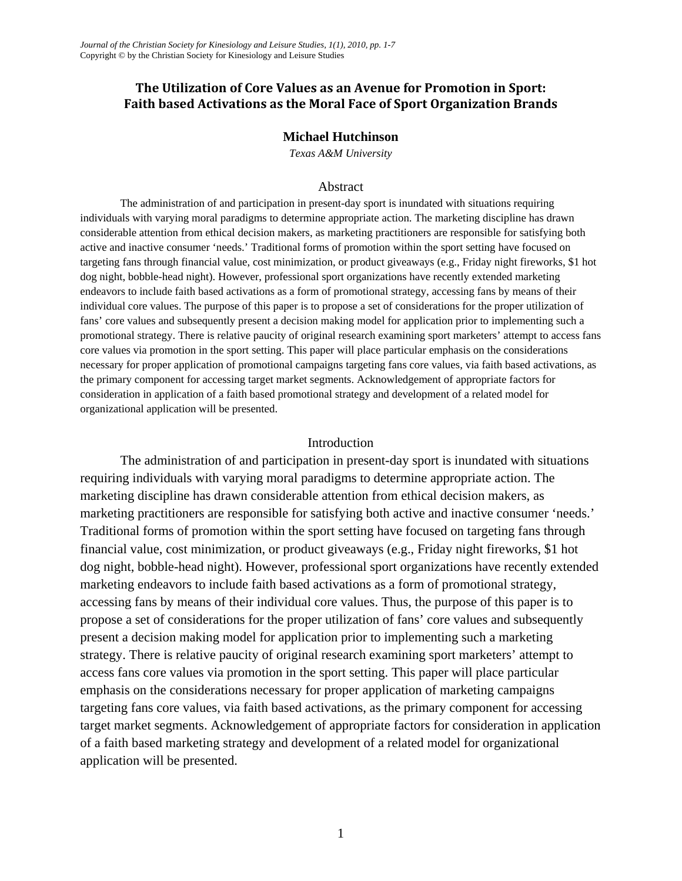# **The Utilization of Core Values as an Avenue for Promotion in Sport: Faith based Activations as the Moral Face of Sport Organization Brands**

## **Michael Hutchinson**

*Texas A&M University* 

#### Abstract

The administration of and participation in present-day sport is inundated with situations requiring individuals with varying moral paradigms to determine appropriate action. The marketing discipline has drawn considerable attention from ethical decision makers, as marketing practitioners are responsible for satisfying both active and inactive consumer 'needs.' Traditional forms of promotion within the sport setting have focused on targeting fans through financial value, cost minimization, or product giveaways (e.g., Friday night fireworks, \$1 hot dog night, bobble-head night). However, professional sport organizations have recently extended marketing endeavors to include faith based activations as a form of promotional strategy, accessing fans by means of their individual core values. The purpose of this paper is to propose a set of considerations for the proper utilization of fans' core values and subsequently present a decision making model for application prior to implementing such a promotional strategy. There is relative paucity of original research examining sport marketers' attempt to access fans core values via promotion in the sport setting. This paper will place particular emphasis on the considerations necessary for proper application of promotional campaigns targeting fans core values, via faith based activations, as the primary component for accessing target market segments. Acknowledgement of appropriate factors for consideration in application of a faith based promotional strategy and development of a related model for organizational application will be presented.

## Introduction

 The administration of and participation in present-day sport is inundated with situations requiring individuals with varying moral paradigms to determine appropriate action. The marketing discipline has drawn considerable attention from ethical decision makers, as marketing practitioners are responsible for satisfying both active and inactive consumer 'needs.' Traditional forms of promotion within the sport setting have focused on targeting fans through financial value, cost minimization, or product giveaways (e.g., Friday night fireworks, \$1 hot dog night, bobble-head night). However, professional sport organizations have recently extended marketing endeavors to include faith based activations as a form of promotional strategy, accessing fans by means of their individual core values. Thus, the purpose of this paper is to propose a set of considerations for the proper utilization of fans' core values and subsequently present a decision making model for application prior to implementing such a marketing strategy. There is relative paucity of original research examining sport marketers' attempt to access fans core values via promotion in the sport setting. This paper will place particular emphasis on the considerations necessary for proper application of marketing campaigns targeting fans core values, via faith based activations, as the primary component for accessing target market segments. Acknowledgement of appropriate factors for consideration in application of a faith based marketing strategy and development of a related model for organizational application will be presented.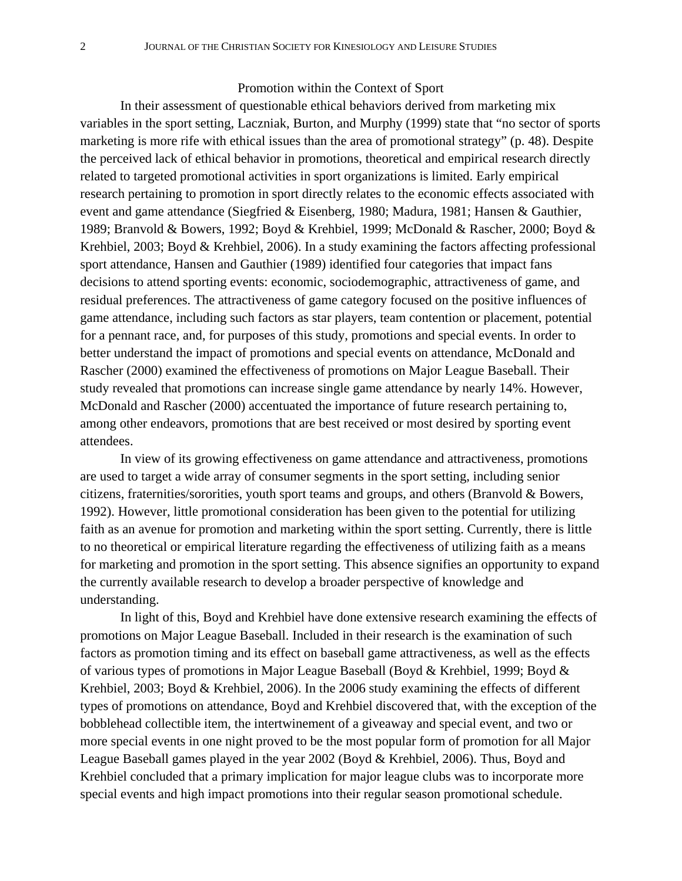#### Promotion within the Context of Sport

 In their assessment of questionable ethical behaviors derived from marketing mix variables in the sport setting, Laczniak, Burton, and Murphy (1999) state that "no sector of sports marketing is more rife with ethical issues than the area of promotional strategy" (p. 48). Despite the perceived lack of ethical behavior in promotions, theoretical and empirical research directly related to targeted promotional activities in sport organizations is limited. Early empirical research pertaining to promotion in sport directly relates to the economic effects associated with event and game attendance (Siegfried & Eisenberg, 1980; Madura, 1981; Hansen & Gauthier, 1989; Branvold & Bowers, 1992; Boyd & Krehbiel, 1999; McDonald & Rascher, 2000; Boyd & Krehbiel, 2003; Boyd & Krehbiel, 2006). In a study examining the factors affecting professional sport attendance, Hansen and Gauthier (1989) identified four categories that impact fans decisions to attend sporting events: economic, sociodemographic, attractiveness of game, and residual preferences. The attractiveness of game category focused on the positive influences of game attendance, including such factors as star players, team contention or placement, potential for a pennant race, and, for purposes of this study, promotions and special events. In order to better understand the impact of promotions and special events on attendance, McDonald and Rascher (2000) examined the effectiveness of promotions on Major League Baseball. Their study revealed that promotions can increase single game attendance by nearly 14%. However, McDonald and Rascher (2000) accentuated the importance of future research pertaining to, among other endeavors, promotions that are best received or most desired by sporting event attendees.

 In view of its growing effectiveness on game attendance and attractiveness, promotions are used to target a wide array of consumer segments in the sport setting, including senior citizens, fraternities/sororities, youth sport teams and groups, and others (Branvold & Bowers, 1992). However, little promotional consideration has been given to the potential for utilizing faith as an avenue for promotion and marketing within the sport setting. Currently, there is little to no theoretical or empirical literature regarding the effectiveness of utilizing faith as a means for marketing and promotion in the sport setting. This absence signifies an opportunity to expand the currently available research to develop a broader perspective of knowledge and understanding.

 In light of this, Boyd and Krehbiel have done extensive research examining the effects of promotions on Major League Baseball. Included in their research is the examination of such factors as promotion timing and its effect on baseball game attractiveness, as well as the effects of various types of promotions in Major League Baseball (Boyd & Krehbiel, 1999; Boyd & Krehbiel, 2003; Boyd & Krehbiel, 2006). In the 2006 study examining the effects of different types of promotions on attendance, Boyd and Krehbiel discovered that, with the exception of the bobblehead collectible item, the intertwinement of a giveaway and special event, and two or more special events in one night proved to be the most popular form of promotion for all Major League Baseball games played in the year 2002 (Boyd & Krehbiel, 2006). Thus, Boyd and Krehbiel concluded that a primary implication for major league clubs was to incorporate more special events and high impact promotions into their regular season promotional schedule.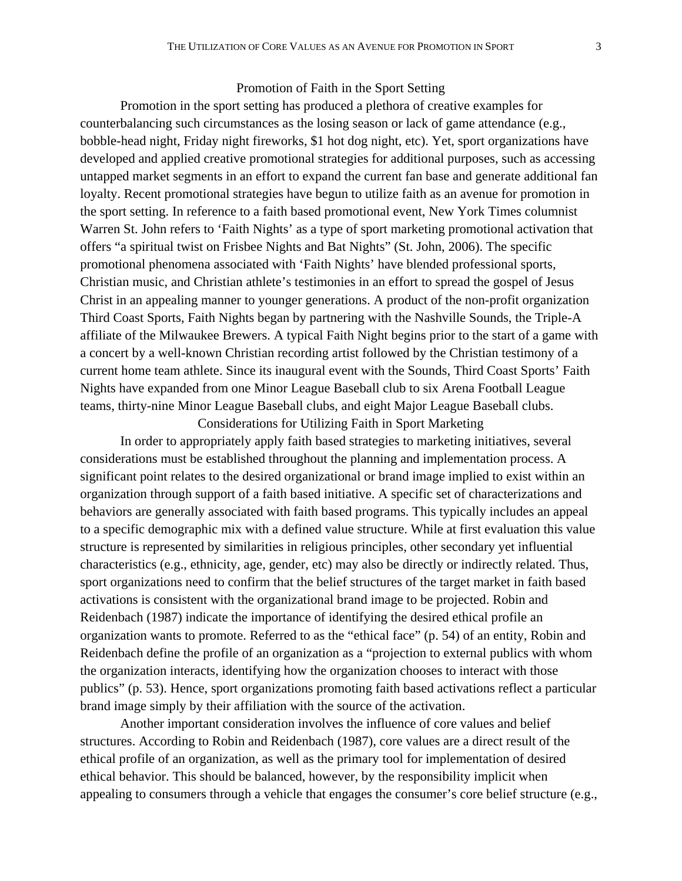#### Promotion of Faith in the Sport Setting

 Promotion in the sport setting has produced a plethora of creative examples for counterbalancing such circumstances as the losing season or lack of game attendance (e.g., bobble-head night, Friday night fireworks, \$1 hot dog night, etc). Yet, sport organizations have developed and applied creative promotional strategies for additional purposes, such as accessing untapped market segments in an effort to expand the current fan base and generate additional fan loyalty. Recent promotional strategies have begun to utilize faith as an avenue for promotion in the sport setting. In reference to a faith based promotional event, New York Times columnist Warren St. John refers to 'Faith Nights' as a type of sport marketing promotional activation that offers "a spiritual twist on Frisbee Nights and Bat Nights" (St. John, 2006). The specific promotional phenomena associated with 'Faith Nights' have blended professional sports, Christian music, and Christian athlete's testimonies in an effort to spread the gospel of Jesus Christ in an appealing manner to younger generations. A product of the non-profit organization Third Coast Sports, Faith Nights began by partnering with the Nashville Sounds, the Triple-A affiliate of the Milwaukee Brewers. A typical Faith Night begins prior to the start of a game with a concert by a well-known Christian recording artist followed by the Christian testimony of a current home team athlete. Since its inaugural event with the Sounds, Third Coast Sports' Faith Nights have expanded from one Minor League Baseball club to six Arena Football League teams, thirty-nine Minor League Baseball clubs, and eight Major League Baseball clubs. Considerations for Utilizing Faith in Sport Marketing

 In order to appropriately apply faith based strategies to marketing initiatives, several considerations must be established throughout the planning and implementation process. A significant point relates to the desired organizational or brand image implied to exist within an organization through support of a faith based initiative. A specific set of characterizations and behaviors are generally associated with faith based programs. This typically includes an appeal to a specific demographic mix with a defined value structure. While at first evaluation this value structure is represented by similarities in religious principles, other secondary yet influential characteristics (e.g., ethnicity, age, gender, etc) may also be directly or indirectly related. Thus, sport organizations need to confirm that the belief structures of the target market in faith based activations is consistent with the organizational brand image to be projected. Robin and Reidenbach (1987) indicate the importance of identifying the desired ethical profile an organization wants to promote. Referred to as the "ethical face" (p. 54) of an entity, Robin and Reidenbach define the profile of an organization as a "projection to external publics with whom the organization interacts, identifying how the organization chooses to interact with those publics" (p. 53). Hence, sport organizations promoting faith based activations reflect a particular brand image simply by their affiliation with the source of the activation.

 Another important consideration involves the influence of core values and belief structures. According to Robin and Reidenbach (1987), core values are a direct result of the ethical profile of an organization, as well as the primary tool for implementation of desired ethical behavior. This should be balanced, however, by the responsibility implicit when appealing to consumers through a vehicle that engages the consumer's core belief structure (e.g.,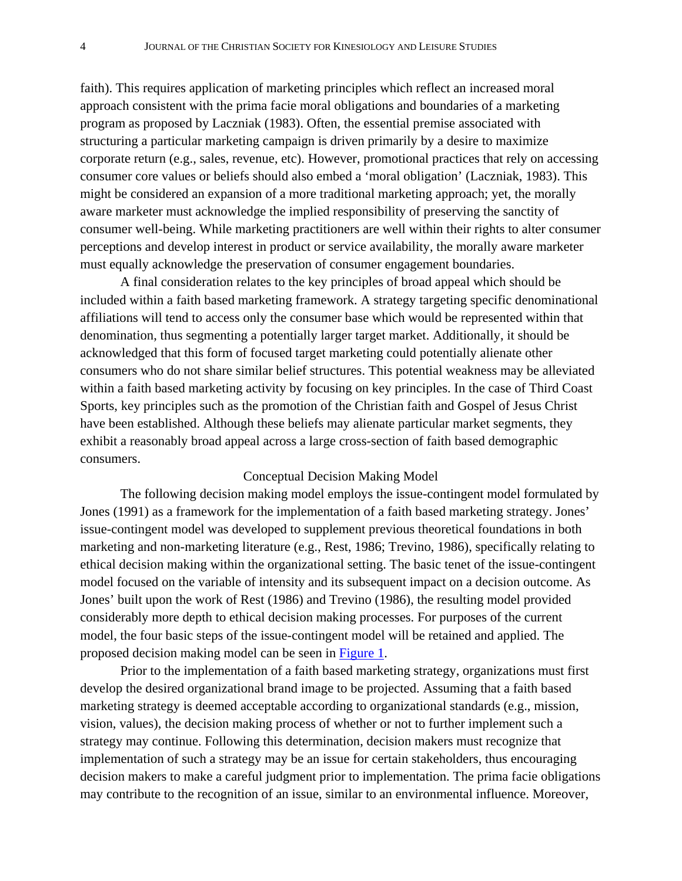faith). This requires application of marketing principles which reflect an increased moral approach consistent with the prima facie moral obligations and boundaries of a marketing program as proposed by Laczniak (1983). Often, the essential premise associated with structuring a particular marketing campaign is driven primarily by a desire to maximize corporate return (e.g., sales, revenue, etc). However, promotional practices that rely on accessing consumer core values or beliefs should also embed a 'moral obligation' (Laczniak, 1983). This might be considered an expansion of a more traditional marketing approach; yet, the morally aware marketer must acknowledge the implied responsibility of preserving the sanctity of consumer well-being. While marketing practitioners are well within their rights to alter consumer perceptions and develop interest in product or service availability, the morally aware marketer must equally acknowledge the preservation of consumer engagement boundaries.

 A final consideration relates to the key principles of broad appeal which should be included within a faith based marketing framework. A strategy targeting specific denominational affiliations will tend to access only the consumer base which would be represented within that denomination, thus segmenting a potentially larger target market. Additionally, it should be acknowledged that this form of focused target marketing could potentially alienate other consumers who do not share similar belief structures. This potential weakness may be alleviated within a faith based marketing activity by focusing on key principles. In the case of Third Coast Sports, key principles such as the promotion of the Christian faith and Gospel of Jesus Christ have been established. Although these beliefs may alienate particular market segments, they exhibit a reasonably broad appeal across a large cross-section of faith based demographic consumers.

#### Conceptual Decision Making Model

 The following decision making model employs the issue-contingent model formulated by Jones (1991) as a framework for the implementation of a faith based marketing strategy. Jones' issue-contingent model was developed to supplement previous theoretical foundations in both marketing and non-marketing literature (e.g., Rest, 1986; Trevino, 1986), specifically relating to ethical decision making within the organizational setting. The basic tenet of the issue-contingent model focused on the variable of intensity and its subsequent impact on a decision outcome. As Jones' built upon the work of Rest (1986) and Trevino (1986), the resulting model provided considerably more depth to ethical decision making processes. For purposes of the current model, the four basic steps of the issue-contingent model will be retained and applied. The proposed decision making model can be seen in [Figure 1.](#page-4-0)

 Prior to the implementation of a faith based marketing strategy, organizations must first develop the desired organizational brand image to be projected. Assuming that a faith based marketing strategy is deemed acceptable according to organizational standards (e.g., mission, vision, values), the decision making process of whether or not to further implement such a strategy may continue. Following this determination, decision makers must recognize that implementation of such a strategy may be an issue for certain stakeholders, thus encouraging decision makers to make a careful judgment prior to implementation. The prima facie obligations may contribute to the recognition of an issue, similar to an environmental influence. Moreover,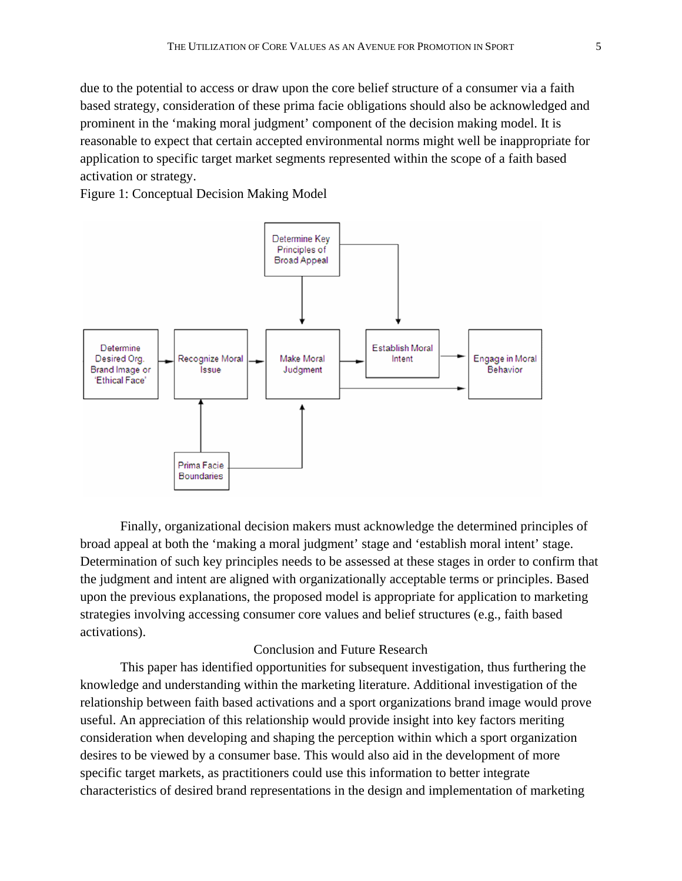<span id="page-4-0"></span>due to the potential to access or draw upon the core belief structure of a consumer via a faith based strategy, consideration of these prima facie obligations should also be acknowledged and prominent in the 'making moral judgment' component of the decision making model. It is reasonable to expect that certain accepted environmental norms might well be inappropriate for application to specific target market segments represented within the scope of a faith based activation or strategy.

Figure 1: Conceptual Decision Making Model



 Finally, organizational decision makers must acknowledge the determined principles of broad appeal at both the 'making a moral judgment' stage and 'establish moral intent' stage. Determination of such key principles needs to be assessed at these stages in order to confirm that the judgment and intent are aligned with organizationally acceptable terms or principles. Based upon the previous explanations, the proposed model is appropriate for application to marketing strategies involving accessing consumer core values and belief structures (e.g., faith based activations).

#### Conclusion and Future Research

 This paper has identified opportunities for subsequent investigation, thus furthering the knowledge and understanding within the marketing literature. Additional investigation of the relationship between faith based activations and a sport organizations brand image would prove useful. An appreciation of this relationship would provide insight into key factors meriting consideration when developing and shaping the perception within which a sport organization desires to be viewed by a consumer base. This would also aid in the development of more specific target markets, as practitioners could use this information to better integrate characteristics of desired brand representations in the design and implementation of marketing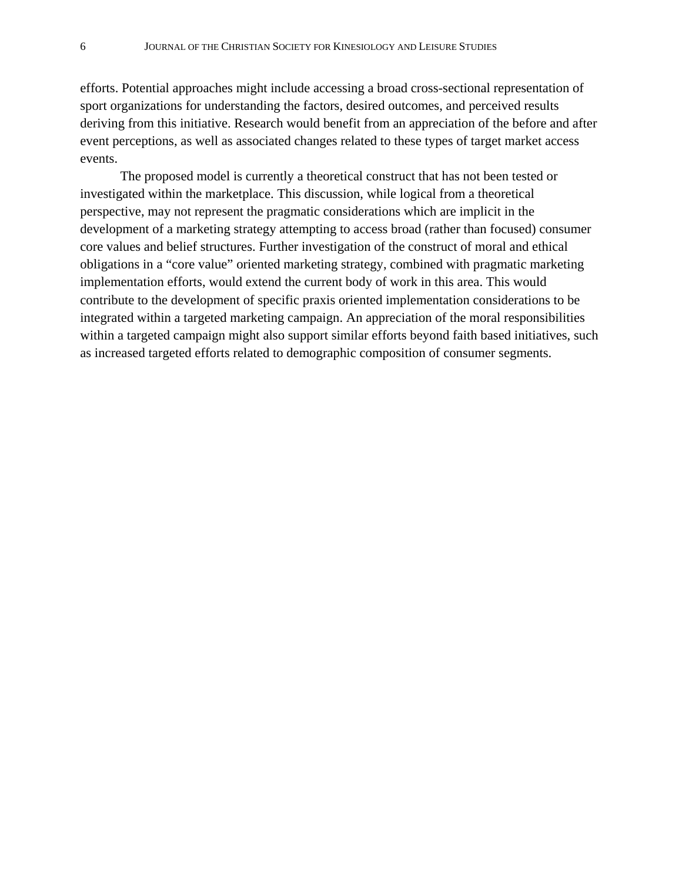efforts. Potential approaches might include accessing a broad cross-sectional representation of sport organizations for understanding the factors, desired outcomes, and perceived results deriving from this initiative. Research would benefit from an appreciation of the before and after event perceptions, as well as associated changes related to these types of target market access events.

 The proposed model is currently a theoretical construct that has not been tested or investigated within the marketplace. This discussion, while logical from a theoretical perspective, may not represent the pragmatic considerations which are implicit in the development of a marketing strategy attempting to access broad (rather than focused) consumer core values and belief structures. Further investigation of the construct of moral and ethical obligations in a "core value" oriented marketing strategy, combined with pragmatic marketing implementation efforts, would extend the current body of work in this area. This would contribute to the development of specific praxis oriented implementation considerations to be integrated within a targeted marketing campaign. An appreciation of the moral responsibilities within a targeted campaign might also support similar efforts beyond faith based initiatives, such as increased targeted efforts related to demographic composition of consumer segments.